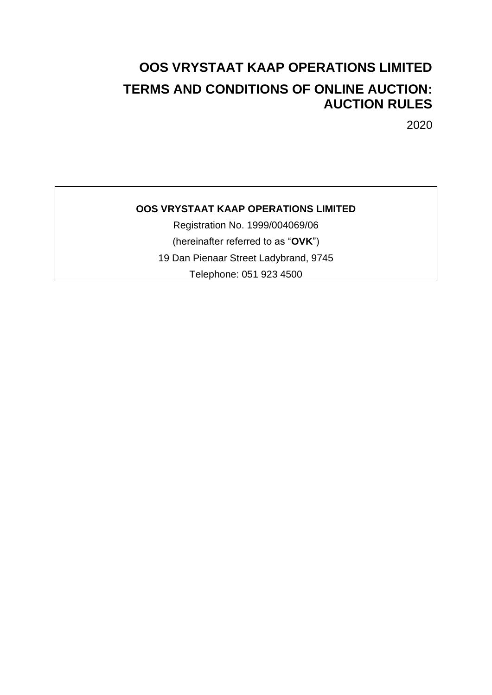# **OOS VRYSTAAT KAAP OPERATIONS LIMITED TERMS AND CONDITIONS OF ONLINE AUCTION: AUCTION RULES**

2020

# **OOS VRYSTAAT KAAP OPERATIONS LIMITED**

Registration No. 1999/004069/06 (hereinafter referred to as "**OVK**") 19 Dan Pienaar Street Ladybrand, 9745 Telephone: 051 923 4500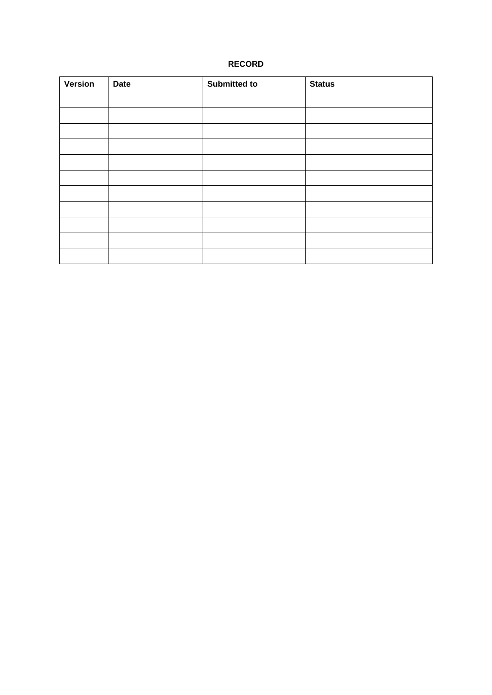# **RECORD**

| <b>Version</b> | <b>Date</b> | Submitted to | <b>Status</b> |
|----------------|-------------|--------------|---------------|
|                |             |              |               |
|                |             |              |               |
|                |             |              |               |
|                |             |              |               |
|                |             |              |               |
|                |             |              |               |
|                |             |              |               |
|                |             |              |               |
|                |             |              |               |
|                |             |              |               |
|                |             |              |               |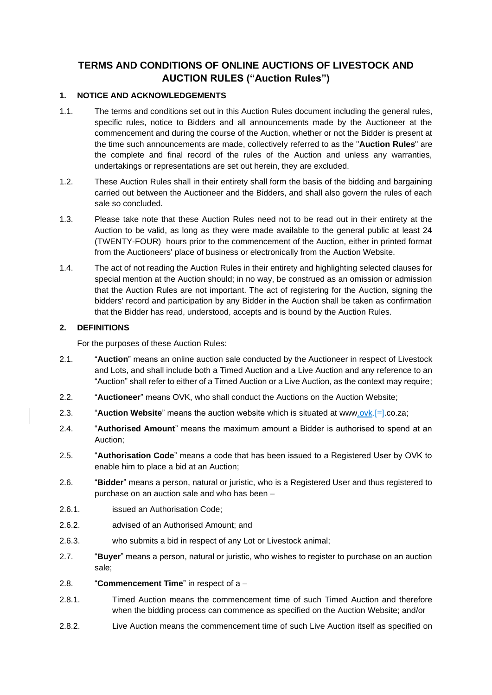# **TERMS AND CONDITIONS OF ONLINE AUCTIONS OF LIVESTOCK AND AUCTION RULES ("Auction Rules")**

# **1. NOTICE AND ACKNOWLEDGEMENTS**

- 1.1. The terms and conditions set out in this Auction Rules document including the general rules, specific rules, notice to Bidders and all announcements made by the Auctioneer at the commencement and during the course of the Auction, whether or not the Bidder is present at the time such announcements are made, collectively referred to as the "**Auction Rules**" are the complete and final record of the rules of the Auction and unless any warranties, undertakings or representations are set out herein, they are excluded.
- 1.2. These Auction Rules shall in their entirety shall form the basis of the bidding and bargaining carried out between the Auctioneer and the Bidders, and shall also govern the rules of each sale so concluded.
- 1.3. Please take note that these Auction Rules need not to be read out in their entirety at the Auction to be valid, as long as they were made available to the general public at least 24 (TWENTY-FOUR) hours prior to the commencement of the Auction, either in printed format from the Auctioneers' place of business or electronically from the Auction Website.
- 1.4. The act of not reading the Auction Rules in their entirety and highlighting selected clauses for special mention at the Auction should; in no way, be construed as an omission or admission that the Auction Rules are not important. The act of registering for the Auction, signing the bidders' record and participation by any Bidder in the Auction shall be taken as confirmation that the Bidder has read, understood, accepts and is bound by the Auction Rules.

## **2. DEFINITIONS**

For the purposes of these Auction Rules:

- 2.1. "**Auction**" means an online auction sale conducted by the Auctioneer in respect of Livestock and Lots, and shall include both a Timed Auction and a Live Auction and any reference to an "Auction" shall refer to either of a Timed Auction or a Live Auction, as the context may require;
- 2.2. "**Auctioneer**" means OVK, who shall conduct the Auctions on the Auction Website;
- 2.3. **"Auction Website**" means the auction website which is situated at www.ovk.<sup>[4]</sup>.co.za;
- 2.4. "**Authorised Amount**" means the maximum amount a Bidder is authorised to spend at an Auction;
- 2.5. "**Authorisation Code**" means a code that has been issued to a Registered User by OVK to enable him to place a bid at an Auction;
- 2.6. "**Bidder**" means a person, natural or juristic, who is a Registered User and thus registered to purchase on an auction sale and who has been –
- 2.6.1. issued an Authorisation Code;
- 2.6.2. advised of an Authorised Amount; and
- 2.6.3. who submits a bid in respect of any Lot or Livestock animal;
- 2.7. "**Buyer**" means a person, natural or juristic, who wishes to register to purchase on an auction sale;
- 2.8. "**Commencement Time**" in respect of a –
- 2.8.1. Timed Auction means the commencement time of such Timed Auction and therefore when the bidding process can commence as specified on the Auction Website; and/or
- 2.8.2. Live Auction means the commencement time of such Live Auction itself as specified on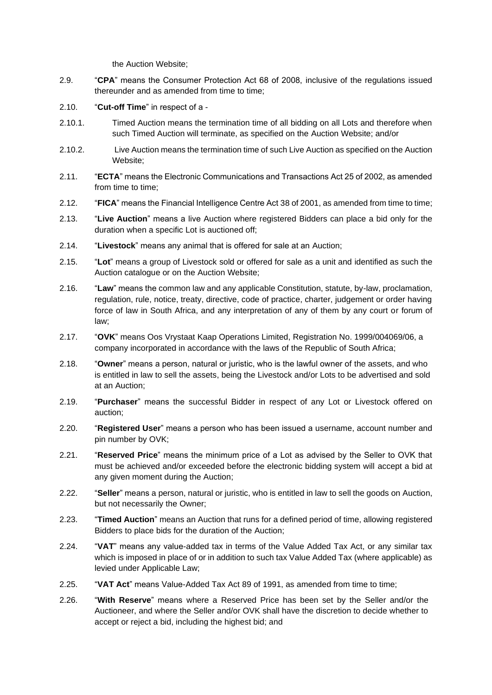the Auction Website;

- 2.9. "**CPA**" means the Consumer Protection Act 68 of 2008, inclusive of the regulations issued thereunder and as amended from time to time;
- 2.10. "**Cut-off Time**" in respect of a -
- 2.10.1. Timed Auction means the termination time of all bidding on all Lots and therefore when such Timed Auction will terminate, as specified on the Auction Website; and/or
- 2.10.2. Live Auction means the termination time of such Live Auction as specified on the Auction Website;
- 2.11. "**ECTA**" means the Electronic Communications and Transactions Act 25 of 2002, as amended from time to time;
- 2.12. "**FICA**" means the Financial Intelligence Centre Act 38 of 2001, as amended from time to time;
- 2.13. "**Live Auction**" means a live Auction where registered Bidders can place a bid only for the duration when a specific Lot is auctioned off;
- 2.14. "**Livestock**" means any animal that is offered for sale at an Auction;
- 2.15. "**Lot**" means a group of Livestock sold or offered for sale as a unit and identified as such the Auction catalogue or on the Auction Website;
- 2.16. "**Law**" means the common law and any applicable Constitution, statute, by-law, proclamation, regulation, rule, notice, treaty, directive, code of practice, charter, judgement or order having force of law in South Africa, and any interpretation of any of them by any court or forum of law;
- 2.17. "**OVK**" means Oos Vrystaat Kaap Operations Limited, Registration No. 1999/004069/06, a company incorporated in accordance with the laws of the Republic of South Africa;
- 2.18. "**Owner**" means a person, natural or juristic, who is the lawful owner of the assets, and who is entitled in law to sell the assets, being the Livestock and/or Lots to be advertised and sold at an Auction;
- 2.19. "**Purchaser**" means the successful Bidder in respect of any Lot or Livestock offered on auction;
- 2.20. "**Registered User**" means a person who has been issued a username, account number and pin number by OVK;
- 2.21. "**Reserved Price**" means the minimum price of a Lot as advised by the Seller to OVK that must be achieved and/or exceeded before the electronic bidding system will accept a bid at any given moment during the Auction;
- 2.22. "**Seller**" means a person, natural or juristic, who is entitled in law to sell the goods on Auction, but not necessarily the Owner;
- 2.23. "**Timed Auction**" means an Auction that runs for a defined period of time, allowing registered Bidders to place bids for the duration of the Auction;
- 2.24. "**VAT**" means any value-added tax in terms of the Value Added Tax Act, or any similar tax which is imposed in place of or in addition to such tax Value Added Tax (where applicable) as levied under Applicable Law;
- 2.25. "**VAT Act**" means Value-Added Tax Act 89 of 1991, as amended from time to time;
- 2.26. "**With Reserve**" means where a Reserved Price has been set by the Seller and/or the Auctioneer, and where the Seller and/or OVK shall have the discretion to decide whether to accept or reject a bid, including the highest bid; and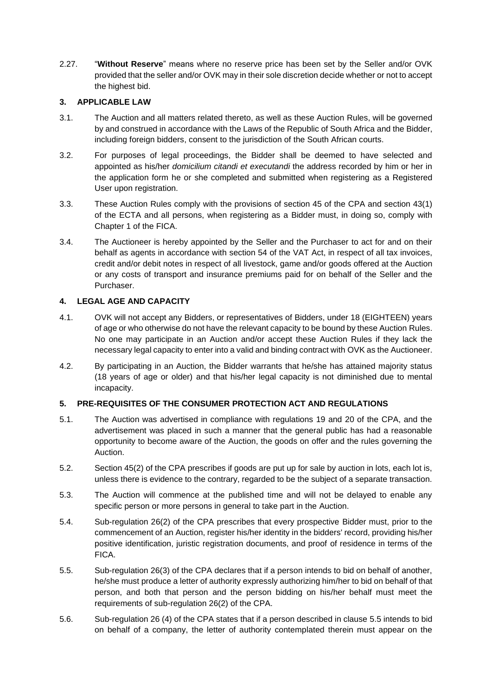2.27. "**Without Reserve**" means where no reserve price has been set by the Seller and/or OVK provided that the seller and/or OVK may in their sole discretion decide whether or not to accept the highest bid.

# **3. APPLICABLE LAW**

- 3.1. The Auction and all matters related thereto, as well as these Auction Rules, will be governed by and construed in accordance with the Laws of the Republic of South Africa and the Bidder, including foreign bidders, consent to the jurisdiction of the South African courts.
- 3.2. For purposes of legal proceedings, the Bidder shall be deemed to have selected and appointed as his/her *domicilium citandi et executandi* the address recorded by him or her in the application form he or she completed and submitted when registering as a Registered User upon registration.
- 3.3. These Auction Rules comply with the provisions of section 45 of the CPA and section 43(1) of the ECTA and all persons, when registering as a Bidder must, in doing so, comply with Chapter 1 of the FICA.
- 3.4. The Auctioneer is hereby appointed by the Seller and the Purchaser to act for and on their behalf as agents in accordance with section 54 of the VAT Act, in respect of all tax invoices, credit and/or debit notes in respect of all livestock, game and/or goods offered at the Auction or any costs of transport and insurance premiums paid for on behalf of the Seller and the Purchaser.

# **4. LEGAL AGE AND CAPACITY**

- 4.1. OVK will not accept any Bidders, or representatives of Bidders, under 18 (EIGHTEEN) years of age or who otherwise do not have the relevant capacity to be bound by these Auction Rules. No one may participate in an Auction and/or accept these Auction Rules if they lack the necessary legal capacity to enter into a valid and binding contract with OVK as the Auctioneer.
- 4.2. By participating in an Auction, the Bidder warrants that he/she has attained majority status (18 years of age or older) and that his/her legal capacity is not diminished due to mental incapacity.

# **5. PRE-REQUISITES OF THE CONSUMER PROTECTION ACT AND REGULATIONS**

- 5.1. The Auction was advertised in compliance with regulations 19 and 20 of the CPA, and the advertisement was placed in such a manner that the general public has had a reasonable opportunity to become aware of the Auction, the goods on offer and the rules governing the Auction.
- 5.2. Section 45(2) of the CPA prescribes if goods are put up for sale by auction in lots, each lot is, unless there is evidence to the contrary, regarded to be the subject of a separate transaction.
- 5.3. The Auction will commence at the published time and will not be delayed to enable any specific person or more persons in general to take part in the Auction.
- 5.4. Sub-regulation 26(2) of the CPA prescribes that every prospective Bidder must, prior to the commencement of an Auction, register his/her identity in the bidders' record, providing his/her positive identification, juristic registration documents, and proof of residence in terms of the FICA.
- 5.5. Sub-regulation 26(3) of the CPA declares that if a person intends to bid on behalf of another, he/she must produce a letter of authority expressly authorizing him/her to bid on behalf of that person, and both that person and the person bidding on his/her behalf must meet the requirements of sub-regulation 26(2) of the CPA.
- 5.6. Sub-regulation 26 (4) of the CPA states that if a person described in clause 5.5 intends to bid on behalf of a company, the letter of authority contemplated therein must appear on the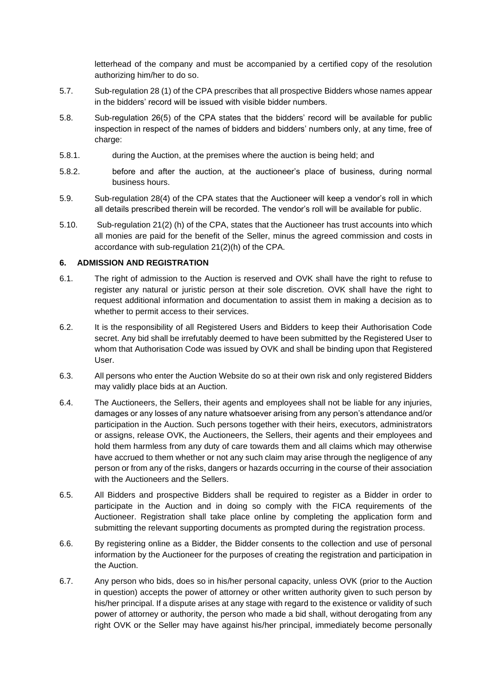letterhead of the company and must be accompanied by a certified copy of the resolution authorizing him/her to do so.

- 5.7. Sub-regulation 28 (1) of the CPA prescribes that all prospective Bidders whose names appear in the bidders' record will be issued with visible bidder numbers.
- 5.8. Sub-regulation 26(5) of the CPA states that the bidders' record will be available for public inspection in respect of the names of bidders and bidders' numbers only, at any time, free of charge:
- 5.8.1. during the Auction, at the premises where the auction is being held; and
- 5.8.2. before and after the auction, at the auctioneer's place of business, during normal business hours.
- 5.9. Sub-regulation 28(4) of the CPA states that the Auctioneer will keep a vendor's roll in which all details prescribed therein will be recorded. The vendor's roll will be available for public.
- 5.10. Sub-regulation 21(2) (h) of the CPA, states that the Auctioneer has trust accounts into which all monies are paid for the benefit of the Seller, minus the agreed commission and costs in accordance with sub-regulation 21(2)(h) of the CPA.

#### **6. ADMISSION AND REGISTRATION**

- 6.1. The right of admission to the Auction is reserved and OVK shall have the right to refuse to register any natural or juristic person at their sole discretion. OVK shall have the right to request additional information and documentation to assist them in making a decision as to whether to permit access to their services.
- 6.2. It is the responsibility of all Registered Users and Bidders to keep their Authorisation Code secret. Any bid shall be irrefutably deemed to have been submitted by the Registered User to whom that Authorisation Code was issued by OVK and shall be binding upon that Registered User.
- 6.3. All persons who enter the Auction Website do so at their own risk and only registered Bidders may validly place bids at an Auction.
- 6.4. The Auctioneers, the Sellers, their agents and employees shall not be liable for any injuries, damages or any losses of any nature whatsoever arising from any person's attendance and/or participation in the Auction. Such persons together with their heirs, executors, administrators or assigns, release OVK, the Auctioneers, the Sellers, their agents and their employees and hold them harmless from any duty of care towards them and all claims which may otherwise have accrued to them whether or not any such claim may arise through the negligence of any person or from any of the risks, dangers or hazards occurring in the course of their association with the Auctioneers and the Sellers.
- 6.5. All Bidders and prospective Bidders shall be required to register as a Bidder in order to participate in the Auction and in doing so comply with the FICA requirements of the Auctioneer. Registration shall take place online by completing the application form and submitting the relevant supporting documents as prompted during the registration process.
- 6.6. By registering online as a Bidder, the Bidder consents to the collection and use of personal information by the Auctioneer for the purposes of creating the registration and participation in the Auction.
- 6.7. Any person who bids, does so in his/her personal capacity, unless OVK (prior to the Auction in question) accepts the power of attorney or other written authority given to such person by his/her principal. If a dispute arises at any stage with regard to the existence or validity of such power of attorney or authority, the person who made a bid shall, without derogating from any right OVK or the Seller may have against his/her principal, immediately become personally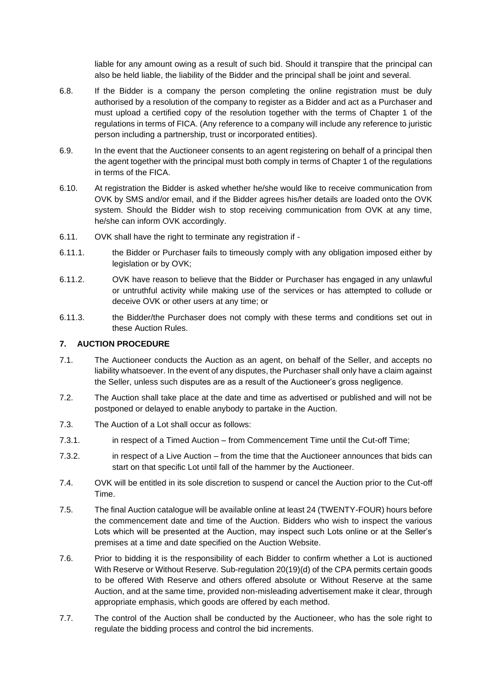liable for any amount owing as a result of such bid. Should it transpire that the principal can also be held liable, the liability of the Bidder and the principal shall be joint and several.

- 6.8. If the Bidder is a company the person completing the online registration must be duly authorised by a resolution of the company to register as a Bidder and act as a Purchaser and must upload a certified copy of the resolution together with the terms of Chapter 1 of the regulations in terms of FICA. (Any reference to a company will include any reference to juristic person including a partnership, trust or incorporated entities).
- 6.9. In the event that the Auctioneer consents to an agent registering on behalf of a principal then the agent together with the principal must both comply in terms of Chapter 1 of the regulations in terms of the FICA.
- 6.10. At registration the Bidder is asked whether he/she would like to receive communication from OVK by SMS and/or email, and if the Bidder agrees his/her details are loaded onto the OVK system. Should the Bidder wish to stop receiving communication from OVK at any time, he/she can inform OVK accordingly.
- 6.11. OVK shall have the right to terminate any registration if -
- 6.11.1. the Bidder or Purchaser fails to timeously comply with any obligation imposed either by legislation or by OVK;
- 6.11.2. OVK have reason to believe that the Bidder or Purchaser has engaged in any unlawful or untruthful activity while making use of the services or has attempted to collude or deceive OVK or other users at any time; or
- 6.11.3. the Bidder/the Purchaser does not comply with these terms and conditions set out in these Auction Rules.

## **7. AUCTION PROCEDURE**

- 7.1. The Auctioneer conducts the Auction as an agent, on behalf of the Seller, and accepts no liability whatsoever. In the event of any disputes, the Purchaser shall only have a claim against the Seller, unless such disputes are as a result of the Auctioneer's gross negligence.
- 7.2. The Auction shall take place at the date and time as advertised or published and will not be postponed or delayed to enable anybody to partake in the Auction.
- 7.3. The Auction of a Lot shall occur as follows:
- 7.3.1. in respect of a Timed Auction from Commencement Time until the Cut-off Time;
- 7.3.2. in respect of a Live Auction from the time that the Auctioneer announces that bids can start on that specific Lot until fall of the hammer by the Auctioneer.
- 7.4. OVK will be entitled in its sole discretion to suspend or cancel the Auction prior to the Cut-off Time.
- 7.5. The final Auction catalogue will be available online at least 24 (TWENTY-FOUR) hours before the commencement date and time of the Auction. Bidders who wish to inspect the various Lots which will be presented at the Auction, may inspect such Lots online or at the Seller's premises at a time and date specified on the Auction Website.
- 7.6. Prior to bidding it is the responsibility of each Bidder to confirm whether a Lot is auctioned With Reserve or Without Reserve. Sub-regulation 20(19)(d) of the CPA permits certain goods to be offered With Reserve and others offered absolute or Without Reserve at the same Auction, and at the same time, provided non-misleading advertisement make it clear, through appropriate emphasis, which goods are offered by each method.
- 7.7. The control of the Auction shall be conducted by the Auctioneer, who has the sole right to regulate the bidding process and control the bid increments.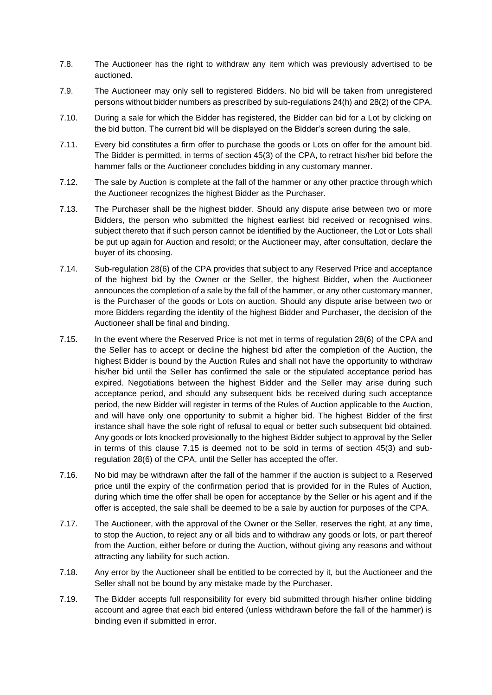- 7.8. The Auctioneer has the right to withdraw any item which was previously advertised to be auctioned.
- 7.9. The Auctioneer may only sell to registered Bidders. No bid will be taken from unregistered persons without bidder numbers as prescribed by sub-regulations 24(h) and 28(2) of the CPA.
- 7.10. During a sale for which the Bidder has registered, the Bidder can bid for a Lot by clicking on the bid button. The current bid will be displayed on the Bidder's screen during the sale.
- 7.11. Every bid constitutes a firm offer to purchase the goods or Lots on offer for the amount bid. The Bidder is permitted, in terms of section 45(3) of the CPA, to retract his/her bid before the hammer falls or the Auctioneer concludes bidding in any customary manner.
- 7.12. The sale by Auction is complete at the fall of the hammer or any other practice through which the Auctioneer recognizes the highest Bidder as the Purchaser.
- 7.13. The Purchaser shall be the highest bidder. Should any dispute arise between two or more Bidders, the person who submitted the highest earliest bid received or recognised wins, subject thereto that if such person cannot be identified by the Auctioneer, the Lot or Lots shall be put up again for Auction and resold; or the Auctioneer may, after consultation, declare the buyer of its choosing.
- 7.14. Sub-regulation 28(6) of the CPA provides that subject to any Reserved Price and acceptance of the highest bid by the Owner or the Seller, the highest Bidder, when the Auctioneer announces the completion of a sale by the fall of the hammer, or any other customary manner, is the Purchaser of the goods or Lots on auction. Should any dispute arise between two or more Bidders regarding the identity of the highest Bidder and Purchaser, the decision of the Auctioneer shall be final and binding.
- 7.15. In the event where the Reserved Price is not met in terms of regulation 28(6) of the CPA and the Seller has to accept or decline the highest bid after the completion of the Auction, the highest Bidder is bound by the Auction Rules and shall not have the opportunity to withdraw his/her bid until the Seller has confirmed the sale or the stipulated acceptance period has expired. Negotiations between the highest Bidder and the Seller may arise during such acceptance period, and should any subsequent bids be received during such acceptance period, the new Bidder will register in terms of the Rules of Auction applicable to the Auction, and will have only one opportunity to submit a higher bid. The highest Bidder of the first instance shall have the sole right of refusal to equal or better such subsequent bid obtained. Any goods or lots knocked provisionally to the highest Bidder subject to approval by the Seller in terms of this clause 7.15 is deemed not to be sold in terms of section 45(3) and subregulation 28(6) of the CPA, until the Seller has accepted the offer.
- 7.16. No bid may be withdrawn after the fall of the hammer if the auction is subject to a Reserved price until the expiry of the confirmation period that is provided for in the Rules of Auction, during which time the offer shall be open for acceptance by the Seller or his agent and if the offer is accepted, the sale shall be deemed to be a sale by auction for purposes of the CPA.
- 7.17. The Auctioneer, with the approval of the Owner or the Seller, reserves the right, at any time, to stop the Auction, to reject any or all bids and to withdraw any goods or lots, or part thereof from the Auction, either before or during the Auction, without giving any reasons and without attracting any liability for such action.
- 7.18. Any error by the Auctioneer shall be entitled to be corrected by it, but the Auctioneer and the Seller shall not be bound by any mistake made by the Purchaser.
- 7.19. The Bidder accepts full responsibility for every bid submitted through his/her online bidding account and agree that each bid entered (unless withdrawn before the fall of the hammer) is binding even if submitted in error.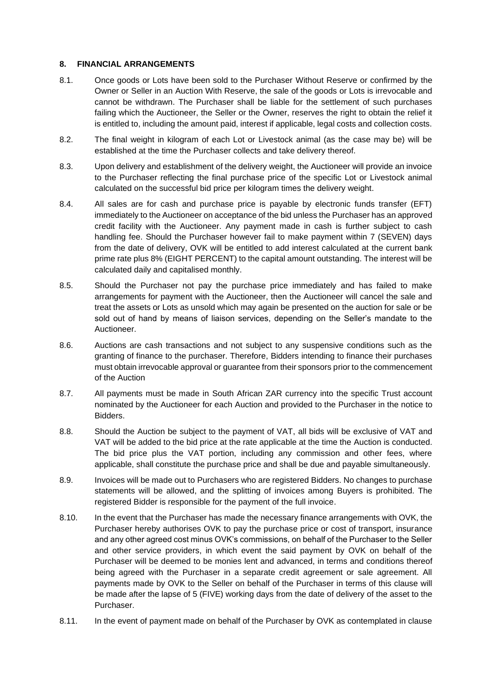#### **8. FINANCIAL ARRANGEMENTS**

- 8.1. Once goods or Lots have been sold to the Purchaser Without Reserve or confirmed by the Owner or Seller in an Auction With Reserve, the sale of the goods or Lots is irrevocable and cannot be withdrawn. The Purchaser shall be liable for the settlement of such purchases failing which the Auctioneer, the Seller or the Owner, reserves the right to obtain the relief it is entitled to, including the amount paid, interest if applicable, legal costs and collection costs.
- 8.2. The final weight in kilogram of each Lot or Livestock animal (as the case may be) will be established at the time the Purchaser collects and take delivery thereof.
- 8.3. Upon delivery and establishment of the delivery weight, the Auctioneer will provide an invoice to the Purchaser reflecting the final purchase price of the specific Lot or Livestock animal calculated on the successful bid price per kilogram times the delivery weight.
- 8.4. All sales are for cash and purchase price is payable by electronic funds transfer (EFT) immediately to the Auctioneer on acceptance of the bid unless the Purchaser has an approved credit facility with the Auctioneer. Any payment made in cash is further subject to cash handling fee. Should the Purchaser however fail to make payment within 7 (SEVEN) days from the date of delivery, OVK will be entitled to add interest calculated at the current bank prime rate plus 8% (EIGHT PERCENT) to the capital amount outstanding. The interest will be calculated daily and capitalised monthly.
- 8.5. Should the Purchaser not pay the purchase price immediately and has failed to make arrangements for payment with the Auctioneer, then the Auctioneer will cancel the sale and treat the assets or Lots as unsold which may again be presented on the auction for sale or be sold out of hand by means of liaison services, depending on the Seller's mandate to the Auctioneer.
- 8.6. Auctions are cash transactions and not subject to any suspensive conditions such as the granting of finance to the purchaser. Therefore, Bidders intending to finance their purchases must obtain irrevocable approval or guarantee from their sponsors prior to the commencement of the Auction
- 8.7. All payments must be made in South African ZAR currency into the specific Trust account nominated by the Auctioneer for each Auction and provided to the Purchaser in the notice to Bidders.
- 8.8. Should the Auction be subject to the payment of VAT, all bids will be exclusive of VAT and VAT will be added to the bid price at the rate applicable at the time the Auction is conducted. The bid price plus the VAT portion, including any commission and other fees, where applicable, shall constitute the purchase price and shall be due and payable simultaneously.
- 8.9. Invoices will be made out to Purchasers who are registered Bidders. No changes to purchase statements will be allowed, and the splitting of invoices among Buyers is prohibited. The registered Bidder is responsible for the payment of the full invoice.
- 8.10. In the event that the Purchaser has made the necessary finance arrangements with OVK, the Purchaser hereby authorises OVK to pay the purchase price or cost of transport, insurance and any other agreed cost minus OVK's commissions, on behalf of the Purchaser to the Seller and other service providers, in which event the said payment by OVK on behalf of the Purchaser will be deemed to be monies lent and advanced, in terms and conditions thereof being agreed with the Purchaser in a separate credit agreement or sale agreement. All payments made by OVK to the Seller on behalf of the Purchaser in terms of this clause will be made after the lapse of 5 (FIVE) working days from the date of delivery of the asset to the Purchaser.
- 8.11. In the event of payment made on behalf of the Purchaser by OVK as contemplated in clause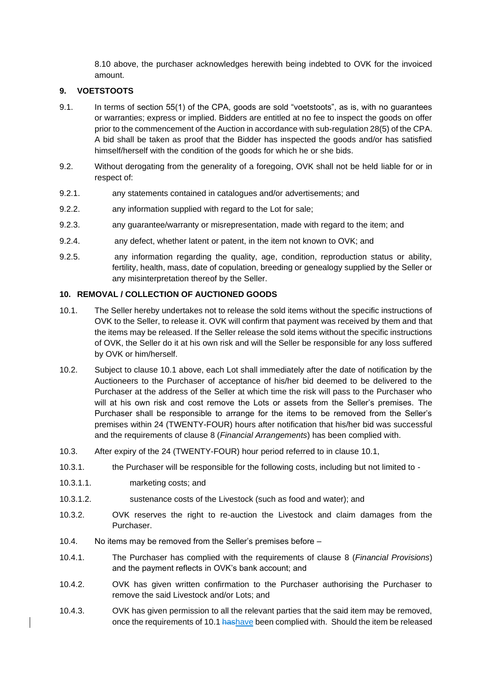8.10 above, the purchaser acknowledges herewith being indebted to OVK for the invoiced amount.

#### **9. VOETSTOOTS**

- 9.1. In terms of section 55(1) of the CPA, goods are sold "voetstoots", as is, with no guarantees or warranties; express or implied. Bidders are entitled at no fee to inspect the goods on offer prior to the commencement of the Auction in accordance with sub-regulation 28(5) of the CPA. A bid shall be taken as proof that the Bidder has inspected the goods and/or has satisfied himself/herself with the condition of the goods for which he or she bids.
- 9.2. Without derogating from the generality of a foregoing, OVK shall not be held liable for or in respect of:
- 9.2.1. any statements contained in catalogues and/or advertisements; and
- 9.2.2. any information supplied with regard to the Lot for sale;
- 9.2.3. any guarantee/warranty or misrepresentation, made with regard to the item; and
- 9.2.4. any defect, whether latent or patent, in the item not known to OVK; and
- 9.2.5. any information regarding the quality, age, condition, reproduction status or ability, fertility, health, mass, date of copulation, breeding or genealogy supplied by the Seller or any misinterpretation thereof by the Seller.

#### **10. REMOVAL / COLLECTION OF AUCTIONED GOODS**

- 10.1. The Seller hereby undertakes not to release the sold items without the specific instructions of OVK to the Seller, to release it. OVK will confirm that payment was received by them and that the items may be released. If the Seller release the sold items without the specific instructions of OVK, the Seller do it at his own risk and will the Seller be responsible for any loss suffered by OVK or him/herself.
- 10.2. Subject to clause 10.1 above, each Lot shall immediately after the date of notification by the Auctioneers to the Purchaser of acceptance of his/her bid deemed to be delivered to the Purchaser at the address of the Seller at which time the risk will pass to the Purchaser who will at his own risk and cost remove the Lots or assets from the Seller's premises. The Purchaser shall be responsible to arrange for the items to be removed from the Seller's premises within 24 (TWENTY-FOUR) hours after notification that his/her bid was successful and the requirements of clause 8 (*Financial Arrangements*) has been complied with.
- 10.3. After expiry of the 24 (TWENTY-FOUR) hour period referred to in clause 10.1,
- 10.3.1. the Purchaser will be responsible for the following costs, including but not limited to -
- 10.3.1.1. marketing costs; and
- 10.3.1.2. sustenance costs of the Livestock (such as food and water); and
- 10.3.2. OVK reserves the right to re-auction the Livestock and claim damages from the Purchaser.
- 10.4. No items may be removed from the Seller's premises before –
- 10.4.1. The Purchaser has complied with the requirements of clause 8 (*Financial Provisions*) and the payment reflects in OVK's bank account; and
- 10.4.2. OVK has given written confirmation to the Purchaser authorising the Purchaser to remove the said Livestock and/or Lots; and
- 10.4.3. OVK has given permission to all the relevant parties that the said item may be removed, once the requirements of 10.1 hashave been complied with. Should the item be released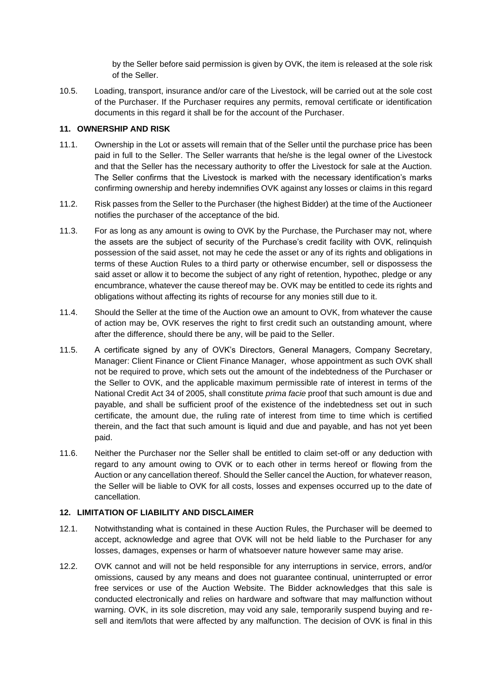by the Seller before said permission is given by OVK, the item is released at the sole risk of the Seller.

10.5. Loading, transport, insurance and/or care of the Livestock, will be carried out at the sole cost of the Purchaser. If the Purchaser requires any permits, removal certificate or identification documents in this regard it shall be for the account of the Purchaser.

#### **11. OWNERSHIP AND RISK**

- 11.1. Ownership in the Lot or assets will remain that of the Seller until the purchase price has been paid in full to the Seller. The Seller warrants that he/she is the legal owner of the Livestock and that the Seller has the necessary authority to offer the Livestock for sale at the Auction. The Seller confirms that the Livestock is marked with the necessary identification's marks confirming ownership and hereby indemnifies OVK against any losses or claims in this regard
- 11.2. Risk passes from the Seller to the Purchaser (the highest Bidder) at the time of the Auctioneer notifies the purchaser of the acceptance of the bid.
- 11.3. For as long as any amount is owing to OVK by the Purchase, the Purchaser may not, where the assets are the subject of security of the Purchase's credit facility with OVK, relinquish possession of the said asset, not may he cede the asset or any of its rights and obligations in terms of these Auction Rules to a third party or otherwise encumber, sell or dispossess the said asset or allow it to become the subject of any right of retention, hypothec, pledge or any encumbrance, whatever the cause thereof may be. OVK may be entitled to cede its rights and obligations without affecting its rights of recourse for any monies still due to it.
- 11.4. Should the Seller at the time of the Auction owe an amount to OVK, from whatever the cause of action may be, OVK reserves the right to first credit such an outstanding amount, where after the difference, should there be any, will be paid to the Seller.
- 11.5. A certificate signed by any of OVK's Directors, General Managers, Company Secretary, Manager: Client Finance or Client Finance Manager, whose appointment as such OVK shall not be required to prove, which sets out the amount of the indebtedness of the Purchaser or the Seller to OVK, and the applicable maximum permissible rate of interest in terms of the National Credit Act 34 of 2005, shall constitute *prima facie* proof that such amount is due and payable, and shall be sufficient proof of the existence of the indebtedness set out in such certificate, the amount due, the ruling rate of interest from time to time which is certified therein, and the fact that such amount is liquid and due and payable, and has not yet been paid.
- 11.6. Neither the Purchaser nor the Seller shall be entitled to claim set-off or any deduction with regard to any amount owing to OVK or to each other in terms hereof or flowing from the Auction or any cancellation thereof. Should the Seller cancel the Auction, for whatever reason, the Seller will be liable to OVK for all costs, losses and expenses occurred up to the date of cancellation.

#### **12. LIMITATION OF LIABILITY AND DISCLAIMER**

- 12.1. Notwithstanding what is contained in these Auction Rules, the Purchaser will be deemed to accept, acknowledge and agree that OVK will not be held liable to the Purchaser for any losses, damages, expenses or harm of whatsoever nature however same may arise.
- 12.2. OVK cannot and will not be held responsible for any interruptions in service, errors, and/or omissions, caused by any means and does not guarantee continual, uninterrupted or error free services or use of the Auction Website. The Bidder acknowledges that this sale is conducted electronically and relies on hardware and software that may malfunction without warning. OVK, in its sole discretion, may void any sale, temporarily suspend buying and resell and item/lots that were affected by any malfunction. The decision of OVK is final in this